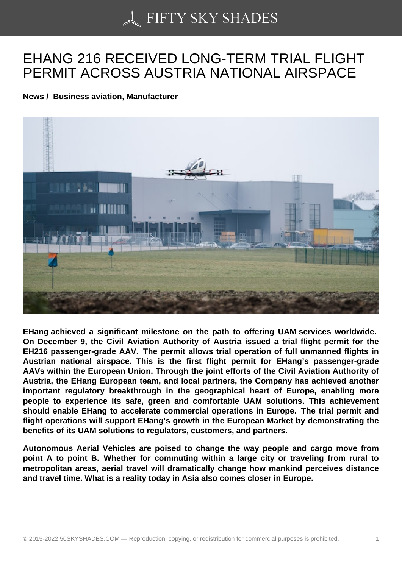## [EHANG 216 RECEIVE](https://50skyshades.com)D LONG-TERM TRIAL FLIGHT PERMIT ACROSS AUSTRIA NATIONAL AIRSPACE

News / Business aviation, Manufacturer

EHang achieved a significant milestone on the path to offering UAM services worldwide. On December 9, the Civil Aviation Authority of Austria issued a trial flight permit for the EH216 passenger-grade AAV. The permit allows trial operation of full unmanned flights in Austrian national airspace. This is the first flight permit for EHang's passenger-grade AAVs within the European Union. Through the joint efforts of the Civil Aviation Authority of Austria, the EHang European team, and local partners, the Company has achieved another important regulatory breakthrough in the geographical heart of Europe, enabling more people to experience its safe, green and comfortable UAM solutions. This achievement should enable EHang to accelerate commercial operations in Europe. The trial permit and flight operations will support EHang's growth in the European Market by demonstrating the benefits of its UAM solutions to regulators, customers, and partners.

Autonomous Aerial Vehicles are poised to change the way people and cargo move from point A to point B. Whether for commuting within a large city or traveling from rural to metropolitan areas, aerial travel will dramatically change how mankind perceives distance and travel time. What is a reality today in Asia also comes closer in Europe.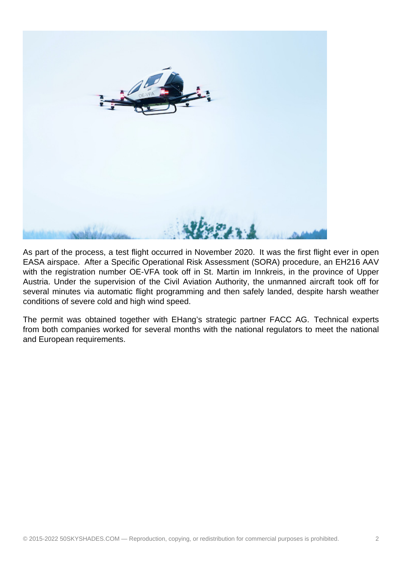

As part of the process, a test flight occurred in November 2020. It was the first flight ever in open EASA airspace. After a Specific Operational Risk Assessment (SORA) procedure, an EH216 AAV with the registration number OE-VFA took off in St. Martin im Innkreis, in the province of Upper Austria. Under the supervision of the Civil Aviation Authority, the unmanned aircraft took off for several minutes via automatic flight programming and then safely landed, despite harsh weather conditions of severe cold and high wind speed.

The permit was obtained together with EHang's strategic partner FACC AG. Technical experts from both companies worked for several months with the national regulators to meet the national and European requirements.